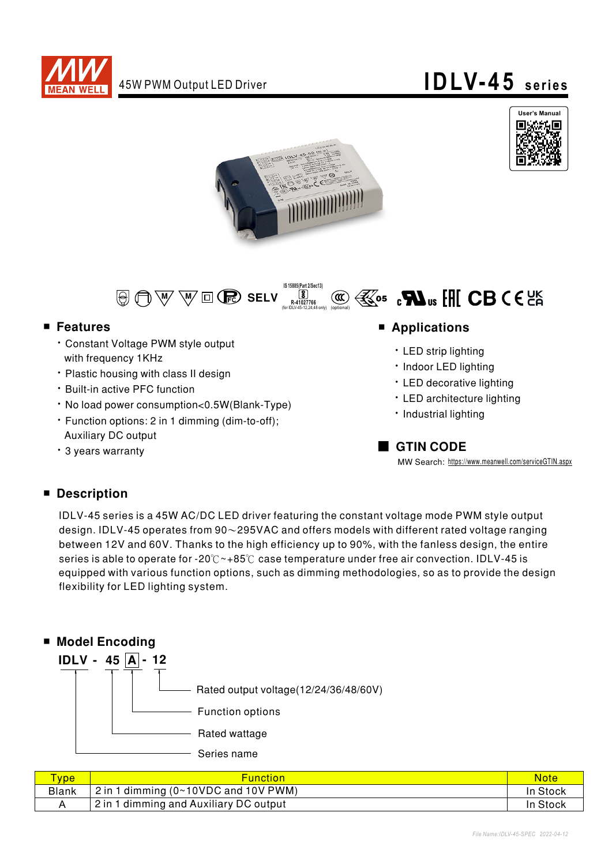







#### ■ Features

- **Constant Voltage PWM style output** with frequency 1KHz
- Plastic housing with class II design
- **· Built-in active PFC function**
- No load power consumption<0.5W(Blank-Type)
- Function options: 2 in 1 dimming (dim-to-off); **Auxiliary DC output**
- 3 years warranty

#### ■ Applications

- LED strip lighting
- · Indoor LED lighting
- LED decorative lighting
- LED architecture lighting
- · Industrial lighting

### GTIN CODE

MW Search: https://www.meanwell.com/serviceGTIN.aspx

#### ■ Description

IDLV-45 series is a 45W AC/DC LED driver featuring the constant voltage mode PWM style output design. IDLV-45 operates from  $90\sim$ 295VAC and offers models with different rated voltage ranging between 12V and 60V. Thanks to the high efficiency up to 90%, with the fanless design, the entire series is able to operate for -20°C  $\sim$ +85°C case temperature under free air convection. IDLV-45 is equipped with various function options, such as dimming methodologies, so as to provide the design flexibility for LED lighting system.



| <b>VDe</b>   | <b>Function</b>                        | Note     |
|--------------|----------------------------------------|----------|
| <b>Blank</b> | $2$ in 1 dimming (0~10VDC and 10V PWM) | In Stock |
|              | 2 in 1 dimming and Auxiliary DC output | In Stock |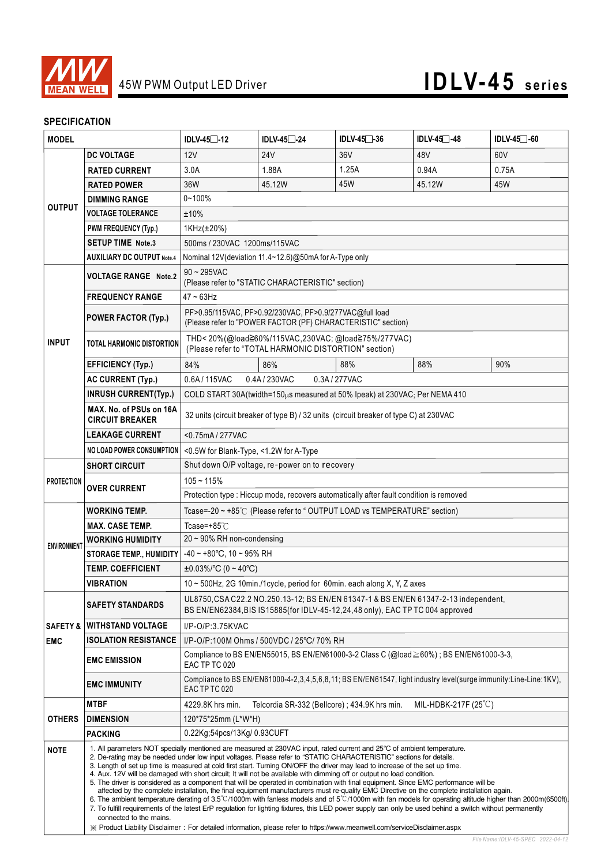

#### **SPECIFICATION**

| <b>MODEL</b>        |                                                                                                                               | IDLV-45□-12                                                                                                                                                                                                                                                                                                                                                                                                                                                                                                                                                                                                                                                                                                                                                                                                                                                                                                                                                                                                                                                                                                                                                                                                                                                            | IDLV-45 <sup>2</sup> -24                      | $IDLV-45$ $-36$ | IDLV-45 <sup>-48</sup>                                                                                           | IDLV-45 -60 |  |  |
|---------------------|-------------------------------------------------------------------------------------------------------------------------------|------------------------------------------------------------------------------------------------------------------------------------------------------------------------------------------------------------------------------------------------------------------------------------------------------------------------------------------------------------------------------------------------------------------------------------------------------------------------------------------------------------------------------------------------------------------------------------------------------------------------------------------------------------------------------------------------------------------------------------------------------------------------------------------------------------------------------------------------------------------------------------------------------------------------------------------------------------------------------------------------------------------------------------------------------------------------------------------------------------------------------------------------------------------------------------------------------------------------------------------------------------------------|-----------------------------------------------|-----------------|------------------------------------------------------------------------------------------------------------------|-------------|--|--|
|                     | <b>DC VOLTAGE</b>                                                                                                             | 12V                                                                                                                                                                                                                                                                                                                                                                                                                                                                                                                                                                                                                                                                                                                                                                                                                                                                                                                                                                                                                                                                                                                                                                                                                                                                    | 24 <sub>V</sub>                               | 36V             | 48V                                                                                                              | 60V         |  |  |
| <b>OUTPUT</b>       | <b>RATED CURRENT</b>                                                                                                          | 3.0A                                                                                                                                                                                                                                                                                                                                                                                                                                                                                                                                                                                                                                                                                                                                                                                                                                                                                                                                                                                                                                                                                                                                                                                                                                                                   | 1.88A                                         | 1.25A           | 0.94A                                                                                                            | 0.75A       |  |  |
|                     | <b>RATED POWER</b>                                                                                                            | 36W                                                                                                                                                                                                                                                                                                                                                                                                                                                                                                                                                                                                                                                                                                                                                                                                                                                                                                                                                                                                                                                                                                                                                                                                                                                                    | 45.12W                                        | 45W             | 45.12W                                                                                                           | 45W         |  |  |
|                     | <b>DIMMING RANGE</b>                                                                                                          | $0 - 100%$                                                                                                                                                                                                                                                                                                                                                                                                                                                                                                                                                                                                                                                                                                                                                                                                                                                                                                                                                                                                                                                                                                                                                                                                                                                             |                                               |                 |                                                                                                                  |             |  |  |
|                     | <b>VOLTAGE TOLERANCE</b>                                                                                                      | ±10%                                                                                                                                                                                                                                                                                                                                                                                                                                                                                                                                                                                                                                                                                                                                                                                                                                                                                                                                                                                                                                                                                                                                                                                                                                                                   |                                               |                 |                                                                                                                  |             |  |  |
|                     | <b>PWM FREQUENCY (Typ.)</b>                                                                                                   | 1KHz(±20%)                                                                                                                                                                                                                                                                                                                                                                                                                                                                                                                                                                                                                                                                                                                                                                                                                                                                                                                                                                                                                                                                                                                                                                                                                                                             |                                               |                 |                                                                                                                  |             |  |  |
|                     | <b>SETUP TIME Note.3</b>                                                                                                      | 500ms / 230VAC 1200ms/115VAC                                                                                                                                                                                                                                                                                                                                                                                                                                                                                                                                                                                                                                                                                                                                                                                                                                                                                                                                                                                                                                                                                                                                                                                                                                           |                                               |                 |                                                                                                                  |             |  |  |
|                     | <b>AUXILIARY DC OUTPUT Note.4</b>                                                                                             | Nominal 12V (deviation 11.4~12.6)@50mA for A-Type only                                                                                                                                                                                                                                                                                                                                                                                                                                                                                                                                                                                                                                                                                                                                                                                                                                                                                                                                                                                                                                                                                                                                                                                                                 |                                               |                 |                                                                                                                  |             |  |  |
|                     | <b>VOLTAGE RANGE Note.2</b>                                                                                                   | $90 \sim 295$ VAC<br>(Please refer to "STATIC CHARACTERISTIC" section)                                                                                                                                                                                                                                                                                                                                                                                                                                                                                                                                                                                                                                                                                                                                                                                                                                                                                                                                                                                                                                                                                                                                                                                                 |                                               |                 |                                                                                                                  |             |  |  |
|                     | <b>FREQUENCY RANGE</b>                                                                                                        | $47 - 63$ Hz                                                                                                                                                                                                                                                                                                                                                                                                                                                                                                                                                                                                                                                                                                                                                                                                                                                                                                                                                                                                                                                                                                                                                                                                                                                           |                                               |                 |                                                                                                                  |             |  |  |
| <b>INPUT</b>        | <b>POWER FACTOR (Typ.)</b>                                                                                                    | PF>0.95/115VAC, PF>0.92/230VAC, PF>0.9/277VAC@full load<br>(Please refer to "POWER FACTOR (PF) CHARACTERISTIC" section)                                                                                                                                                                                                                                                                                                                                                                                                                                                                                                                                                                                                                                                                                                                                                                                                                                                                                                                                                                                                                                                                                                                                                |                                               |                 |                                                                                                                  |             |  |  |
|                     | TOTAL HARMONIC DISTORTION                                                                                                     | THD<20%(@load≧60%/115VAC,230VAC; @load≧75%/277VAC)<br>(Please refer to "TOTAL HARMONIC DISTORTION" section)                                                                                                                                                                                                                                                                                                                                                                                                                                                                                                                                                                                                                                                                                                                                                                                                                                                                                                                                                                                                                                                                                                                                                            |                                               |                 |                                                                                                                  |             |  |  |
|                     | <b>EFFICIENCY (Typ.)</b>                                                                                                      | 84%                                                                                                                                                                                                                                                                                                                                                                                                                                                                                                                                                                                                                                                                                                                                                                                                                                                                                                                                                                                                                                                                                                                                                                                                                                                                    | 86%                                           | 88%             | 88%                                                                                                              | 90%         |  |  |
|                     | <b>AC CURRENT (Typ.)</b>                                                                                                      | 0.6A / 115VAC                                                                                                                                                                                                                                                                                                                                                                                                                                                                                                                                                                                                                                                                                                                                                                                                                                                                                                                                                                                                                                                                                                                                                                                                                                                          | 0.4A/230VAC                                   | 0.3A / 277VAC   |                                                                                                                  |             |  |  |
|                     | <b>INRUSH CURRENT(Typ.)</b>                                                                                                   | COLD START 30A(twidth=150µs measured at 50% Ipeak) at 230VAC; Per NEMA 410                                                                                                                                                                                                                                                                                                                                                                                                                                                                                                                                                                                                                                                                                                                                                                                                                                                                                                                                                                                                                                                                                                                                                                                             |                                               |                 |                                                                                                                  |             |  |  |
|                     | MAX. No. of PSUs on 16A<br><b>CIRCUIT BREAKER</b>                                                                             | 32 units (circuit breaker of type B) / 32 units (circuit breaker of type C) at 230VAC                                                                                                                                                                                                                                                                                                                                                                                                                                                                                                                                                                                                                                                                                                                                                                                                                                                                                                                                                                                                                                                                                                                                                                                  |                                               |                 |                                                                                                                  |             |  |  |
|                     | <b>LEAKAGE CURRENT</b>                                                                                                        | <0.75mA/277VAC                                                                                                                                                                                                                                                                                                                                                                                                                                                                                                                                                                                                                                                                                                                                                                                                                                                                                                                                                                                                                                                                                                                                                                                                                                                         |                                               |                 |                                                                                                                  |             |  |  |
|                     | <b>NO LOAD POWER CONSUMPTION</b>                                                                                              | <0.5W for Blank-Type, <1.2W for A-Type                                                                                                                                                                                                                                                                                                                                                                                                                                                                                                                                                                                                                                                                                                                                                                                                                                                                                                                                                                                                                                                                                                                                                                                                                                 |                                               |                 |                                                                                                                  |             |  |  |
|                     | <b>SHORT CIRCUIT</b>                                                                                                          | Shut down O/P voltage, re-power on to recovery                                                                                                                                                                                                                                                                                                                                                                                                                                                                                                                                                                                                                                                                                                                                                                                                                                                                                                                                                                                                                                                                                                                                                                                                                         |                                               |                 |                                                                                                                  |             |  |  |
| <b>PROTECTION</b>   | $105 - 115%$<br><b>OVER CURRENT</b><br>Protection type : Hiccup mode, recovers automatically after fault condition is removed |                                                                                                                                                                                                                                                                                                                                                                                                                                                                                                                                                                                                                                                                                                                                                                                                                                                                                                                                                                                                                                                                                                                                                                                                                                                                        |                                               |                 |                                                                                                                  |             |  |  |
|                     |                                                                                                                               |                                                                                                                                                                                                                                                                                                                                                                                                                                                                                                                                                                                                                                                                                                                                                                                                                                                                                                                                                                                                                                                                                                                                                                                                                                                                        |                                               |                 |                                                                                                                  |             |  |  |
|                     | WORKING TEMP.                                                                                                                 | Tcase=-20 ~ +85℃ (Please refer to " OUTPUT LOAD vs TEMPERATURE" section)                                                                                                                                                                                                                                                                                                                                                                                                                                                                                                                                                                                                                                                                                                                                                                                                                                                                                                                                                                                                                                                                                                                                                                                               |                                               |                 |                                                                                                                  |             |  |  |
|                     | <b>MAX. CASE TEMP.</b>                                                                                                        | Tcase=+85°C                                                                                                                                                                                                                                                                                                                                                                                                                                                                                                                                                                                                                                                                                                                                                                                                                                                                                                                                                                                                                                                                                                                                                                                                                                                            |                                               |                 |                                                                                                                  |             |  |  |
| <b>ENVIRONMENT</b>  | WORKING HUMIDITY                                                                                                              | $20 \sim 90\%$ RH non-condensing                                                                                                                                                                                                                                                                                                                                                                                                                                                                                                                                                                                                                                                                                                                                                                                                                                                                                                                                                                                                                                                                                                                                                                                                                                       |                                               |                 |                                                                                                                  |             |  |  |
|                     | <b>STORAGE TEMP., HUMIDITY</b>                                                                                                | $-40 \sim +80^{\circ}$ C. 10 ~ 95% RH                                                                                                                                                                                                                                                                                                                                                                                                                                                                                                                                                                                                                                                                                                                                                                                                                                                                                                                                                                                                                                                                                                                                                                                                                                  |                                               |                 |                                                                                                                  |             |  |  |
|                     | <b>TEMP. COEFFICIENT</b>                                                                                                      | $\pm 0.03\%$ /°C (0 ~ 40°C)                                                                                                                                                                                                                                                                                                                                                                                                                                                                                                                                                                                                                                                                                                                                                                                                                                                                                                                                                                                                                                                                                                                                                                                                                                            |                                               |                 |                                                                                                                  |             |  |  |
|                     | VIBRATION                                                                                                                     | 10 ~ 500Hz, 2G 10min./1cycle, period for 60min. each along X, Y, Z axes                                                                                                                                                                                                                                                                                                                                                                                                                                                                                                                                                                                                                                                                                                                                                                                                                                                                                                                                                                                                                                                                                                                                                                                                |                                               |                 |                                                                                                                  |             |  |  |
|                     | <b>SAFETY STANDARDS</b>                                                                                                       | UL8750, CSA C22.2 NO.250.13-12; BS EN/EN 61347-1 & BS EN/EN 61347-2-13 independent,<br>BS EN/EN62384, BIS IS15885 (for IDLV-45-12, 24, 48 only), EAC TP TC 004 approved                                                                                                                                                                                                                                                                                                                                                                                                                                                                                                                                                                                                                                                                                                                                                                                                                                                                                                                                                                                                                                                                                                |                                               |                 |                                                                                                                  |             |  |  |
| <b>SAFETY &amp;</b> | <b>WITHSTAND VOLTAGE</b><br>I/P-O/P:3.75KVAC<br><b>ISOLATION RESISTANCE</b><br>I/P-O/P:100M Ohms / 500VDC / 25°C/ 70% RH      |                                                                                                                                                                                                                                                                                                                                                                                                                                                                                                                                                                                                                                                                                                                                                                                                                                                                                                                                                                                                                                                                                                                                                                                                                                                                        |                                               |                 |                                                                                                                  |             |  |  |
| <b>EMC</b>          |                                                                                                                               |                                                                                                                                                                                                                                                                                                                                                                                                                                                                                                                                                                                                                                                                                                                                                                                                                                                                                                                                                                                                                                                                                                                                                                                                                                                                        |                                               |                 |                                                                                                                  |             |  |  |
|                     | <b>EMC EMISSION</b>                                                                                                           | Compliance to BS EN/EN55015, BS EN/EN61000-3-2 Class C (@load ≥ 60%) ; BS EN/EN61000-3-3,<br>EAC TP TC 020                                                                                                                                                                                                                                                                                                                                                                                                                                                                                                                                                                                                                                                                                                                                                                                                                                                                                                                                                                                                                                                                                                                                                             |                                               |                 |                                                                                                                  |             |  |  |
|                     | <b>EMC IMMUNITY</b>                                                                                                           | EAC TP TC 020                                                                                                                                                                                                                                                                                                                                                                                                                                                                                                                                                                                                                                                                                                                                                                                                                                                                                                                                                                                                                                                                                                                                                                                                                                                          |                                               |                 | Compliance to BS EN/EN61000-4-2,3,4,5,6,8,11; BS EN/EN61547, light industry level(surge immunity:Line-Line:1KV), |             |  |  |
|                     | <b>MTBF</b>                                                                                                                   | 4229.8K hrs min.                                                                                                                                                                                                                                                                                                                                                                                                                                                                                                                                                                                                                                                                                                                                                                                                                                                                                                                                                                                                                                                                                                                                                                                                                                                       | Telcordia SR-332 (Bellcore) ; 434.9K hrs min. |                 | MIL-HDBK-217F $(25^{\circ}C)$                                                                                    |             |  |  |
| <b>OTHERS</b>       | <b>DIMENSION</b>                                                                                                              | 120*75*25mm (L*W*H)                                                                                                                                                                                                                                                                                                                                                                                                                                                                                                                                                                                                                                                                                                                                                                                                                                                                                                                                                                                                                                                                                                                                                                                                                                                    |                                               |                 |                                                                                                                  |             |  |  |
|                     | <b>PACKING</b>                                                                                                                | 0.22Kg;54pcs/13Kg/0.93CUFT                                                                                                                                                                                                                                                                                                                                                                                                                                                                                                                                                                                                                                                                                                                                                                                                                                                                                                                                                                                                                                                                                                                                                                                                                                             |                                               |                 |                                                                                                                  |             |  |  |
| <b>NOTE</b>         | connected to the mains.                                                                                                       | 1. All parameters NOT specially mentioned are measured at 230VAC input, rated current and 25°C of ambient temperature.<br>2. De-rating may be needed under low input voltages. Please refer to "STATIC CHARACTERISTIC" sections for details.<br>3. Length of set up time is measured at cold first start. Turning ON/OFF the driver may lead to increase of the set up time.<br>4. Aux. 12V will be damaged with short circuit; It will not be available with dimming off or output no load condition.<br>5. The driver is considered as a component that will be operated in combination with final equipment. Since EMC performance will be<br>affected by the complete installation, the final equipment manufacturers must re-qualify EMC Directive on the complete installation again.<br>6. The ambient temperature derating of $3.5^{\circ}$ C/1000m with fanless models and of $5^{\circ}$ C/1000m with fan models for operating altitude higher than 2000m(6500ft).<br>7. To fulfill requirements of the latest ErP regulation for lighting fixtures, this LED power supply can only be used behind a switch without permanently<br>X Product Liability Disclaimer: For detailed information, please refer to https://www.meanwell.com/serviceDisclaimer.aspx |                                               |                 |                                                                                                                  |             |  |  |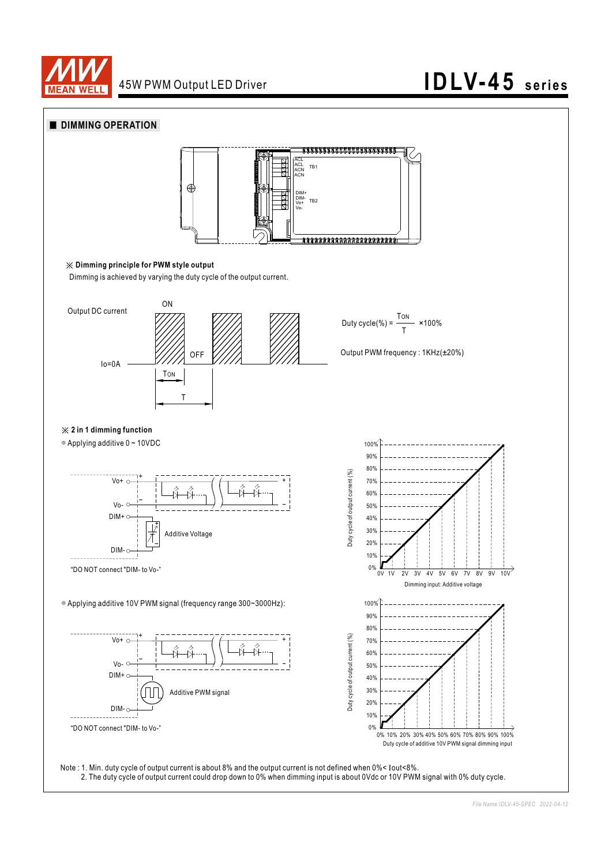

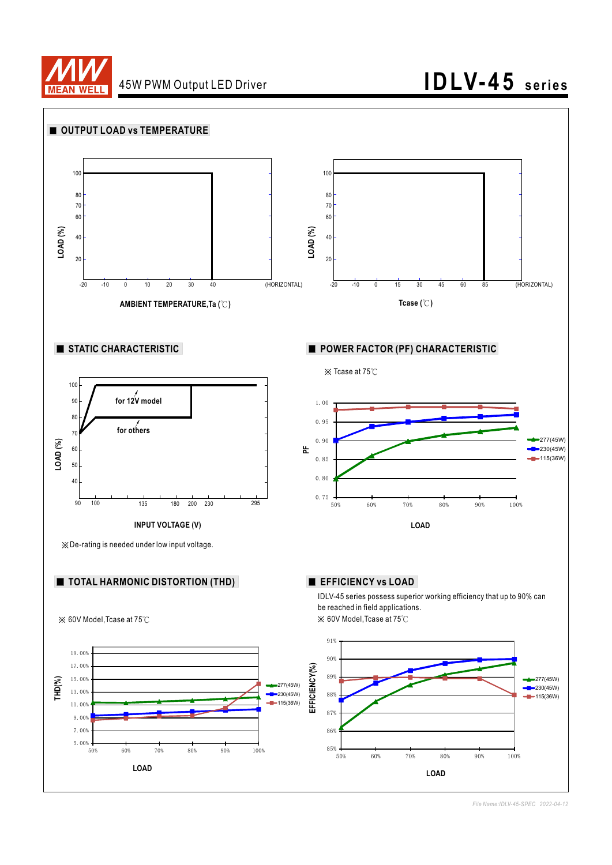



*File Name:IDLV-45-SPEC 2022-04-12*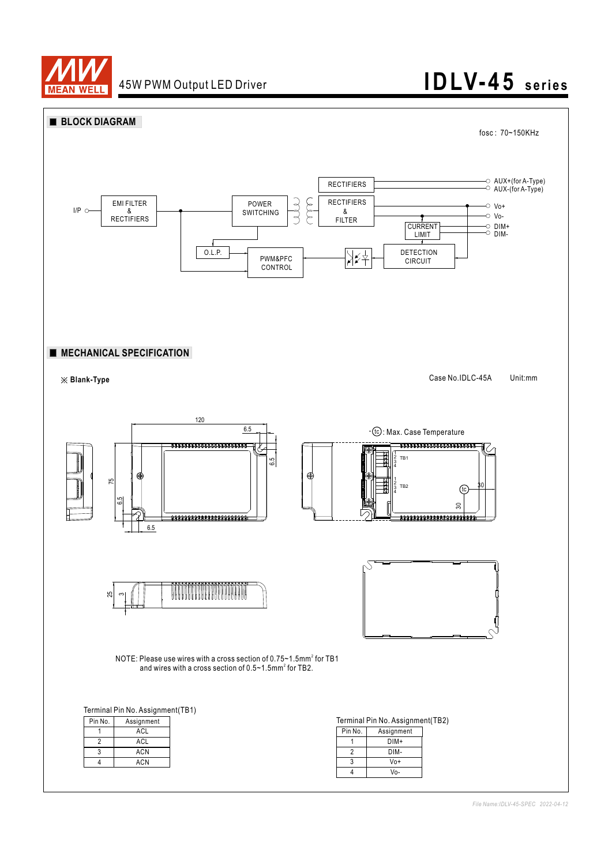